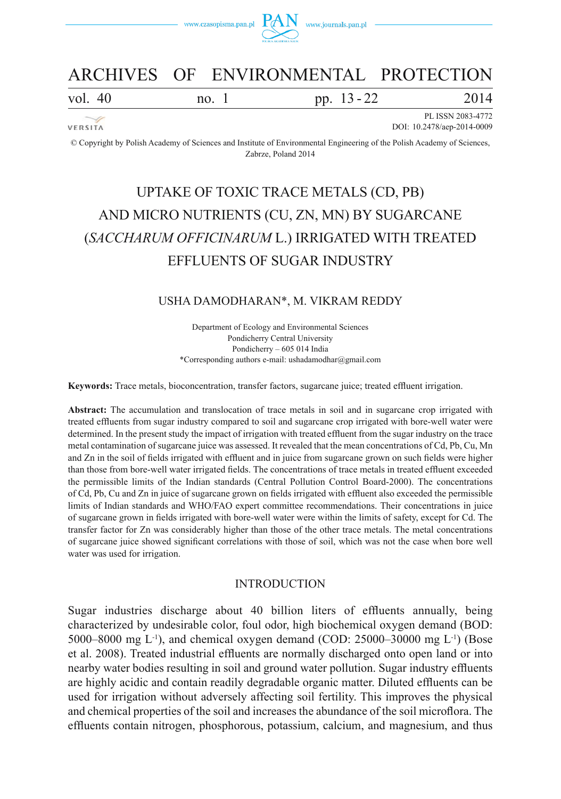

# ARCHIVES OF ENVIRONMENTAL PROTECTION

| vol. 40 | no. $1$ | pp. $13 - 22$ | 2014 |
|---------|---------|---------------|------|
|         |         |               |      |

VERSITA

PL ISSN 2083-4772

DOI: 10.2478/aep-2014-0009

© Copyright by Polish Academy of Sciences and Institute of Environmental Engineering of the Polish Academy of Sciences, Zabrze, Poland 2014

# UPTAKE OF TOXIC TRACE METALS (CD, PB) AND MICRO NUTRIENTS (CU, ZN, MN) BY SUGARCANE (*SACCHARUM OFFICINARUM* L.) IRRIGATED WITH TREATED EFFLUENTS OF SUGAR INDUSTRY

# USHA DAMODHARAN\*, M. VIKRAM REDDY

Department of Ecology and Environmental Sciences Pondicherry Central University Pondicherry – 605 014 India \*Corresponding authors e-mail: ushadamodhar@gmail.com

**Keywords:** Trace metals, bioconcentration, transfer factors, sugarcane juice; treated effluent irrigation.

**Abstract:** The accumulation and translocation of trace metals in soil and in sugarcane crop irrigated with treated effluents from sugar industry compared to soil and sugarcane crop irrigated with bore-well water were determined. In the present study the impact of irrigation with treated effluent from the sugar industry on the trace metal contamination of sugarcane juice was assessed. It revealed that the mean concentrations of Cd, Pb, Cu, Mn and Zn in the soil of fields irrigated with effluent and in juice from sugarcane grown on such fields were higher than those from bore-well water irrigated fields. The concentrations of trace metals in treated effluent exceeded the permissible limits of the Indian standards (Central Pollution Control Board-2000). The concentrations of Cd, Pb, Cu and Zn in juice of sugarcane grown on fields irrigated with effluent also exceeded the permissible limits of Indian standards and WHO/FAO expert committee recommendations. Their concentrations in juice of sugarcane grown in fields irrigated with bore-well water were within the limits of safety, except for Cd. The transfer factor for Zn was considerably higher than those of the other trace metals. The metal concentrations of sugarcane juice showed significant correlations with those of soil, which was not the case when bore well water was used for irrigation.

#### INTRODUCTION

Sugar industries discharge about 40 billion liters of effluents annually, being characterized by undesirable color, foul odor, high biochemical oxygen demand (BOD: 5000–8000 mg L<sup>-1</sup>), and chemical oxygen demand (COD: 25000–30000 mg L<sup>-1</sup>) (Bose et al. 2008). Treated industrial effluents are normally discharged onto open land or into nearby water bodies resulting in soil and ground water pollution. Sugar industry effluents are highly acidic and contain readily degradable organic matter. Diluted effluents can be used for irrigation without adversely affecting soil fertility. This improves the physical and chemical properties of the soil and increases the abundance of the soil microflora. The effluents contain nitrogen, phosphorous, potassium, calcium, and magnesium, and thus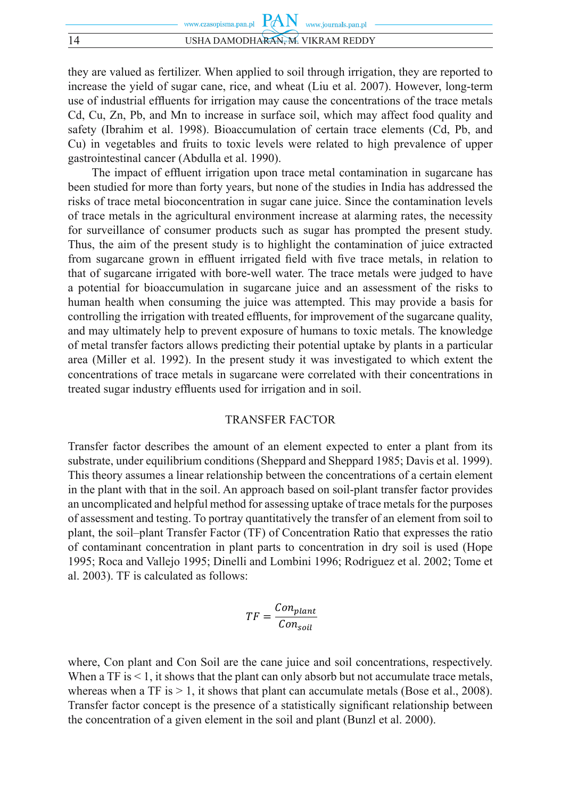|    | www.czasopisma.pan.pl $\mathbf{L}(T\mathbf{M})$ www.journals.pan.pl |                                  |  |
|----|---------------------------------------------------------------------|----------------------------------|--|
| 14 |                                                                     | USHA DAMODHARAN, M. VIKRAM REDDY |  |

they are valued as fertilizer. When applied to soil through irrigation, they are reported to increase the yield of sugar cane, rice, and wheat (Liu et al. 2007). However, long-term use of industrial effluents for irrigation may cause the concentrations of the trace metals Cd, Cu, Zn, Pb, and Mn to increase in surface soil, which may affect food quality and safety (Ibrahim et al. 1998). Bioaccumulation of certain trace elements (Cd, Pb, and Cu) in vegetables and fruits to toxic levels were related to high prevalence of upper gastrointestinal cancer (Abdulla et al. 1990).

The impact of effluent irrigation upon trace metal contamination in sugarcane has been studied for more than forty years, but none of the studies in India has addressed the risks of trace metal bioconcentration in sugar cane juice. Since the contamination levels of trace metals in the agricultural environment increase at alarming rates, the necessity for surveillance of consumer products such as sugar has prompted the present study. Thus, the aim of the present study is to highlight the contamination of juice extracted from sugarcane grown in effluent irrigated field with five trace metals, in relation to that of sugarcane irrigated with bore-well water. The trace metals were judged to have a potential for bioaccumulation in sugarcane juice and an assessment of the risks to human health when consuming the juice was attempted. This may provide a basis for controlling the irrigation with treated effluents, for improvement of the sugarcane quality, and may ultimately help to prevent exposure of humans to toxic metals. The knowledge of metal transfer factors allows predicting their potential uptake by plants in a particular area (Miller et al. 1992). In the present study it was investigated to which extent the concentrations of trace metals in sugarcane were correlated with their concentrations in treated sugar industry effluents used for irrigation and in soil.

#### TRANSFER FACTOR

Transfer factor describes the amount of an element expected to enter a plant from its substrate, under equilibrium conditions (Sheppard and Sheppard 1985; Davis et al. 1999). This theory assumes a linear relationship between the concentrations of a certain element in the plant with that in the soil. An approach based on soil-plant transfer factor provides an uncomplicated and helpful method for assessing uptake of trace metals for the purposes of assessment and testing. To portray quantitatively the transfer of an element from soil to plant, the soil–plant Transfer Factor (TF) of Concentration Ratio that expresses the ratio of contaminant concentration in plant parts to concentration in dry soil is used (Hope 1995; Roca and Vallejo 1995; Dinelli and Lombini 1996; Rodriguez et al. 2002; Tome et al. 2003). TF is calculated as follows:

$$
TF = \frac{Con_{plant}}{Con_{soil}}
$$

where, Con plant and Con Soil are the cane juice and soil concentrations, respectively. When a TF is  $\leq 1$ , it shows that the plant can only absorb but not accumulate trace metals, whereas when a TF is  $> 1$ , it shows that plant can accumulate metals (Bose et al., 2008). Transfer factor concept is the presence of a statistically significant relationship between the concentration of a given element in the soil and plant (Bunzl et al. 2000).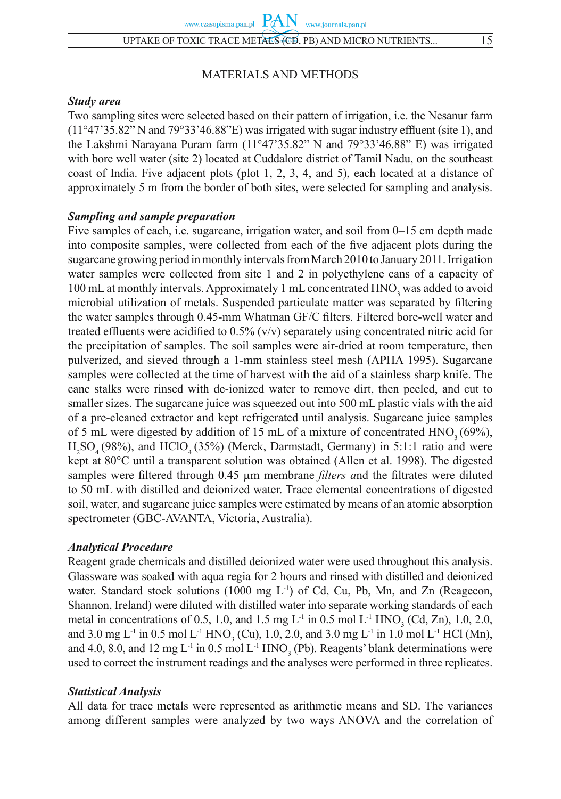#### MATERIALS AND METHODS

#### *Study area*

Two sampling sites were selected based on their pattern of irrigation, i.e. the Nesanur farm ( $11°47'35.82"$  N and  $79°33'46.88"$ E) was irrigated with sugar industry effluent (site 1), and the Lakshmi Narayana Puram farm (11°47'35.82" N and 79°33'46.88" E) was irrigated with bore well water (site 2) located at Cuddalore district of Tamil Nadu, on the southeast coast of India. Five adjacent plots (plot 1, 2, 3, 4, and 5), each located at a distance of approximately 5 m from the border of both sites, were selected for sampling and analysis.

#### *Sampling and sample preparation*

Five samples of each, i.e. sugarcane, irrigation water, and soil from 0–15 cm depth made into composite samples, were collected from each of the five adjacent plots during the sugarcane growing period in monthly intervals from March 2010 to January 2011. Irrigation water samples were collected from site 1 and 2 in polyethylene cans of a capacity of 100 mL at monthly intervals. Approximately 1 mL concentrated  $HNO<sub>3</sub>$  was added to avoid microbial utilization of metals. Suspended particulate matter was separated by filtering the water samples through 0.45-mm Whatman GF/C filters. Filtered bore-well water and treated effluents were acidified to  $0.5\%$  (v/v) separately using concentrated nitric acid for the precipitation of samples. The soil samples were air-dried at room temperature, then pulverized, and sieved through a 1-mm stainless steel mesh (APHA 1995). Sugarcane samples were collected at the time of harvest with the aid of a stainless sharp knife. The cane stalks were rinsed with de-ionized water to remove dirt, then peeled, and cut to smaller sizes. The sugarcane juice was squeezed out into 500 mL plastic vials with the aid of a pre-cleaned extractor and kept refrigerated until analysis. Sugarcane juice samples of 5 mL were digested by addition of 15 mL of a mixture of concentrated HNO $(69\%)$ ,  $H_2SO_4(98%)$ , and  $HClO_4(35%)$  (Merck, Darmstadt, Germany) in 5:1:1 ratio and were kept at 80°C until a transparent solution was obtained (Allen et al. 1998). The digested samples were filtered through 0.45 µm membrane *filters a*nd the filtrates were diluted to 50 mL with distilled and deionized water. Trace elemental concentrations of digested soil, water, and sugarcane juice samples were estimated by means of an atomic absorption spectrometer (GBC-AVANTA, Victoria, Australia).

#### *Analytical Procedure*

Reagent grade chemicals and distilled deionized water were used throughout this analysis. Glassware was soaked with aqua regia for 2 hours and rinsed with distilled and deionized water. Standard stock solutions (1000 mg  $L^{-1}$ ) of Cd, Cu, Pb, Mn, and Zn (Reagecon, Shannon, Ireland) were diluted with distilled water into separate working standards of each metal in concentrations of 0.5, 1.0, and 1.5 mg  $L^{-1}$  in 0.5 mol  $L^{-1}$  HNO<sub>3</sub> (Cd, Zn), 1.0, 2.0, and 3.0 mg L<sup>-1</sup> in 0.5 mol L<sup>-1</sup> HNO<sub>3</sub> (Cu), 1.0, 2.0, and 3.0 mg L<sup>-1</sup> in 1.0 mol L<sup>-1</sup> HCl (Mn), and 4.0, 8.0, and 12 mg  $L^{-1}$  in 0.5 mol  $L^{-1}$  HNO<sub>3</sub> (Pb). Reagents' blank determinations were used to correct the instrument readings and the analyses were performed in three replicates.

#### *Statistical Analysis*

All data for trace metals were represented as arithmetic means and SD. The variances among different samples were analyzed by two ways ANOVA and the correlation of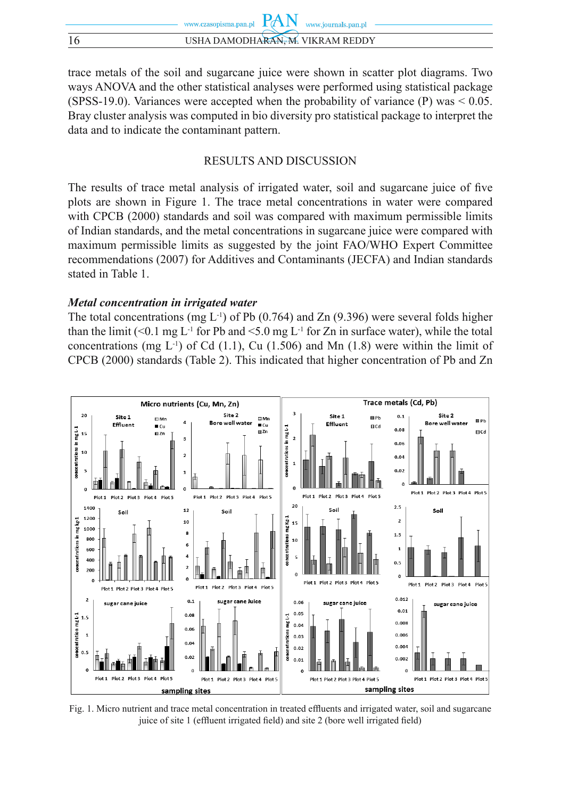|    | www.czasopisma.pan.pl $TAN$ www.journals.pan.pl |
|----|-------------------------------------------------|
| 16 | USHA DAMODHARAN, M. VIKRAM REDDY                |

trace metals of the soil and sugarcane juice were shown in scatter plot diagrams. Two ways ANOVA and the other statistical analyses were performed using statistical package (SPSS-19.0). Variances were accepted when the probability of variance  $(P)$  was  $\leq 0.05$ . Bray cluster analysis was computed in bio diversity pro statistical package to interpret the data and to indicate the contaminant pattern.

### RESULTS AND DISCUSSION

The results of trace metal analysis of irrigated water, soil and sugarcane juice of five plots are shown in Figure 1. The trace metal concentrations in water were compared with CPCB (2000) standards and soil was compared with maximum permissible limits of Indian standards, and the metal concentrations in sugarcane juice were compared with maximum permissible limits as suggested by the joint FAO/WHO Expert Committee recommendations (2007) for Additives and Contaminants (JECFA) and Indian standards stated in Table 1.

### *Metal concentration in irrigated water*

The total concentrations (mg  $L^{-1}$ ) of Pb (0.764) and Zn (9.396) were several folds higher than the limit (<0.1 mg  $L^{-1}$  for Pb and <5.0 mg  $L^{-1}$  for Zn in surface water), while the total concentrations (mg  $L^{-1}$ ) of Cd (1.1), Cu (1.506) and Mn (1.8) were within the limit of CPCB (2000) standards (Table 2). This indicated that higher concentration of Pb and Zn



Fig. 1. Micro nutrient and trace metal concentration in treated effluents and irrigated water, soil and sugarcane juice of site 1 (effluent irrigated field) and site 2 (bore well irrigated field)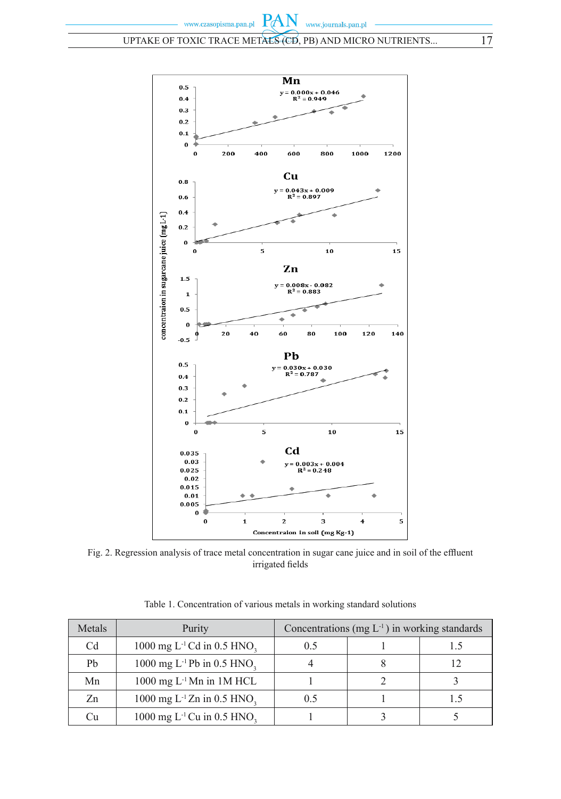**PAN** www.journals.pan.pl www.czasopisma.pan.pl



Fig. 2. Regression analysis of trace metal concentration in sugar cane juice and in soil of the effluent irrigated fields

| Metals         | Purity                                             | Concentrations (mg $L^{-1}$ ) in working standards |  |  |
|----------------|----------------------------------------------------|----------------------------------------------------|--|--|
| C <sub>d</sub> | 1000 mg L <sup>-1</sup> Cd in 0.5 HNO <sub>2</sub> | 0.5                                                |  |  |
| Pb             | 1000 mg L <sup>-1</sup> Pb in 0.5 HNO <sub>2</sub> |                                                    |  |  |
| Mn             | 1000 mg $L^{-1}$ Mn in 1M HCL                      |                                                    |  |  |
| Zn             | 1000 mg L <sup>-1</sup> Zn in 0.5 HNO <sub>3</sub> | 0.5                                                |  |  |
| Cu             | 1000 mg $L^{-1}$ Cu in 0.5 HNO <sub>3</sub>        |                                                    |  |  |

Table 1. Concentration of various metals in working standard solutions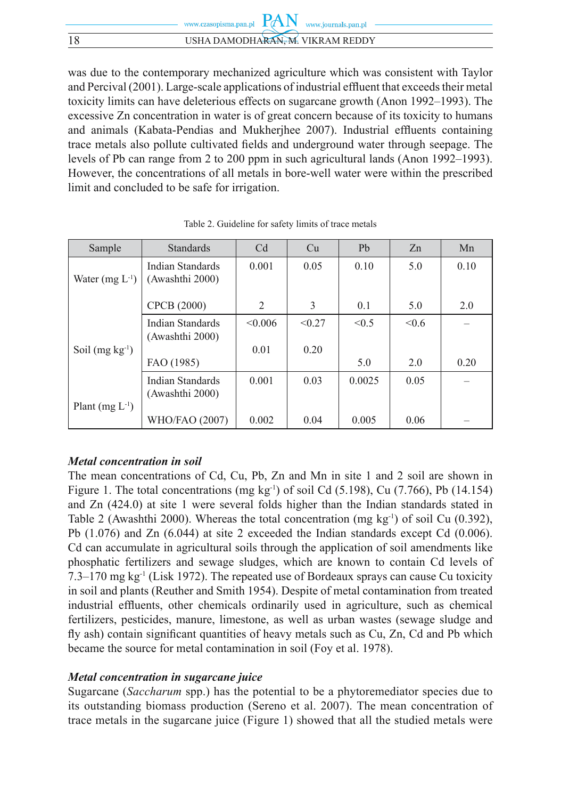|    | www.czasopisma.pan.pl $LAN$ www.journals.pan.pl |  |  |
|----|-------------------------------------------------|--|--|
| 18 | USHA DAMODHARAN, M. VIKRAM REDDY                |  |  |

was due to the contemporary mechanized agriculture which was consistent with Taylor and Percival (2001). Large-scale applications of industrial effluent that exceeds their metal toxicity limits can have deleterious effects on sugarcane growth (Anon 1992–1993). The excessive Zn concentration in water is of great concern because of its toxicity to humans and animals (Kabata-Pendias and Mukherjhee 2007). Industrial effluents containing trace metals also pollute cultivated fields and underground water through seepage. The levels of Pb can range from 2 to 200 ppm in such agricultural lands (Anon 1992–1993). However, the concentrations of all metals in bore-well water were within the prescribed limit and concluded to be safe for irrigation.

| Sample               | <b>Standards</b>                    | C <sub>d</sub> | Cu            | Pb     | Zn    | Mn   |
|----------------------|-------------------------------------|----------------|---------------|--------|-------|------|
| Water (mg $L^{-1}$ ) | Indian Standards<br>(Awashthi 2000) | 0.001          | 0.05          | 0.10   | 5.0   | 0.10 |
|                      | CPCB (2000)                         | 2              | $\mathcal{E}$ | 0.1    | 5.0   | 2.0  |
|                      | Indian Standards<br>(Awashthi 2000) | < 0.006        | < 0.27        | < 0.5  | < 0.6 |      |
| Soil $(mg kg-1)$     |                                     | 0.01           | 0.20          |        |       |      |
|                      | FAO (1985)                          |                |               | 5.0    | 2.0   | 0.20 |
|                      | Indian Standards<br>(Awashthi 2000) | 0.001          | 0.03          | 0.0025 | 0.05  |      |
| Plant (mg $L^{-1}$ ) |                                     |                |               |        |       |      |
|                      | WHO/FAO (2007)                      | 0.002          | 0.04          | 0.005  | 0.06  |      |

Table 2. Guideline for safety limits of trace metals

## *Metal concentration in soil*

The mean concentrations of Cd, Cu, Pb, Zn and Mn in site 1 and 2 soil are shown in Figure 1. The total concentrations (mg kg<sup>-1</sup>) of soil Cd  $(5.198)$ , Cu  $(7.766)$ , Pb  $(14.154)$ and Zn (424.0) at site 1 were several folds higher than the Indian standards stated in Table 2 (Awashthi 2000). Whereas the total concentration (mg kg-1) of soil Cu (0.392), Pb (1.076) and Zn (6.044) at site 2 exceeded the Indian standards except Cd (0.006). Cd can accumulate in agricultural soils through the application of soil amendments like phosphatic fertilizers and sewage sludges, which are known to contain Cd levels of 7.3–170 mg kg-1 (Lisk 1972). The repeated use of Bordeaux sprays can cause Cu toxicity in soil and plants (Reuther and Smith 1954). Despite of metal contamination from treated industrial effluents, other chemicals ordinarily used in agriculture, such as chemical fertilizers, pesticides, manure, limestone, as well as urban wastes (sewage sludge and fly ash) contain significant quantities of heavy metals such as  $Cu$ ,  $Zn$ ,  $Cd$  and Pb which became the source for metal contamination in soil (Foy et al. 1978).

## *Metal concentration in sugarcane juice*

Sugarcane (*Saccharum* spp.) has the potential to be a phytoremediator species due to its outstanding biomass production (Sereno et al. 2007). The mean concentration of trace metals in the sugarcane juice (Figure 1) showed that all the studied metals were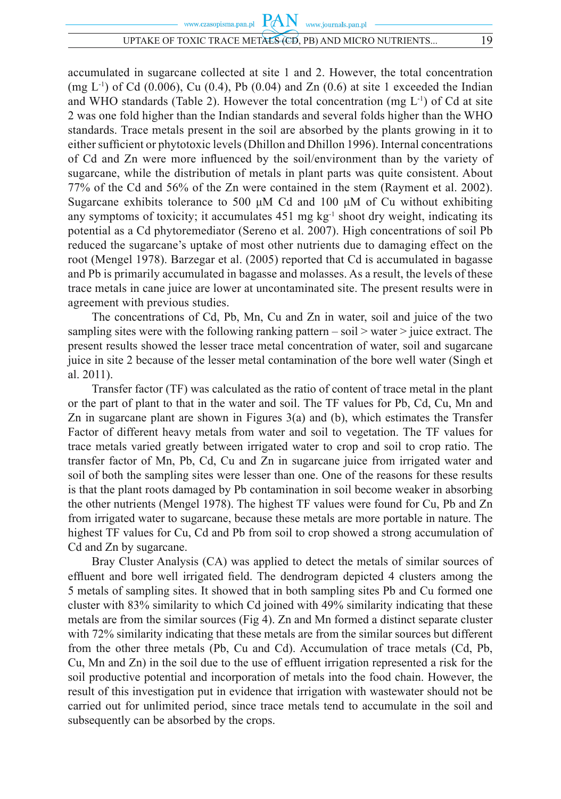#### UPTAKE OF TOXIC TRACE METALS (CD, PB) AND MICRO NUTRIENTS... 19

accumulated in sugarcane collected at site 1 and 2. However, the total concentration (mg  $L^{-1}$ ) of Cd (0.006), Cu (0.4), Pb (0.04) and Zn (0.6) at site 1 exceeded the Indian and WHO standards (Table 2). However the total concentration (mg  $L^{-1}$ ) of Cd at site 2 was one fold higher than the Indian standards and several folds higher than the WHO standards. Trace metals present in the soil are absorbed by the plants growing in it to either sufficient or phytotoxic levels (Dhillon and Dhillon 1996). Internal concentrations of Cd and Zn were more influenced by the soil/environment than by the variety of sugarcane, while the distribution of metals in plant parts was quite consistent. About 77% of the Cd and 56% of the Zn were contained in the stem (Rayment et al. 2002). Sugarcane exhibits tolerance to 500 μM Cd and 100 μM of Cu without exhibiting any symptoms of toxicity; it accumulates  $451$  mg kg<sup>-1</sup> shoot dry weight, indicating its potential as a Cd phytoremediator (Sereno et al. 2007). High concentrations of soil Pb reduced the sugarcane's uptake of most other nutrients due to damaging effect on the root (Mengel 1978). Barzegar et al. (2005) reported that Cd is accumulated in bagasse and Pb is primarily accumulated in bagasse and molasses. As a result, the levels of these trace metals in cane juice are lower at uncontaminated site. The present results were in agreement with previous studies.

The concentrations of Cd, Pb, Mn, Cu and Zn in water, soil and juice of the two sampling sites were with the following ranking pattern – soil  $>$  water  $>$  juice extract. The present results showed the lesser trace metal concentration of water, soil and sugarcane juice in site 2 because of the lesser metal contamination of the bore well water (Singh et al. 2011).

Transfer factor (TF) was calculated as the ratio of content of trace metal in the plant or the part of plant to that in the water and soil. The TF values for Pb, Cd, Cu, Mn and Zn in sugarcane plant are shown in Figures 3(a) and (b), which estimates the Transfer Factor of different heavy metals from water and soil to vegetation. The TF values for trace metals varied greatly between irrigated water to crop and soil to crop ratio. The transfer factor of Mn, Pb, Cd, Cu and Zn in sugarcane juice from irrigated water and soil of both the sampling sites were lesser than one. One of the reasons for these results is that the plant roots damaged by Pb contamination in soil become weaker in absorbing the other nutrients (Mengel 1978). The highest TF values were found for Cu, Pb and Zn from irrigated water to sugarcane, because these metals are more portable in nature. The highest TF values for Cu, Cd and Pb from soil to crop showed a strong accumulation of Cd and Zn by sugarcane.

Bray Cluster Analysis (CA) was applied to detect the metals of similar sources of effluent and bore well irrigated field. The dendrogram depicted 4 clusters among the 5 metals of sampling sites. It showed that in both sampling sites Pb and Cu formed one cluster with 83% similarity to which Cd joined with 49% similarity indicating that these metals are from the similar sources (Fig 4). Zn and Mn formed a distinct separate cluster with 72% similarity indicating that these metals are from the similar sources but different from the other three metals (Pb, Cu and Cd). Accumulation of trace metals (Cd, Pb, Cu, Mn and Zn) in the soil due to the use of effluent irrigation represented a risk for the soil productive potential and incorporation of metals into the food chain. However, the result of this investigation put in evidence that irrigation with wastewater should not be carried out for unlimited period, since trace metals tend to accumulate in the soil and subsequently can be absorbed by the crops.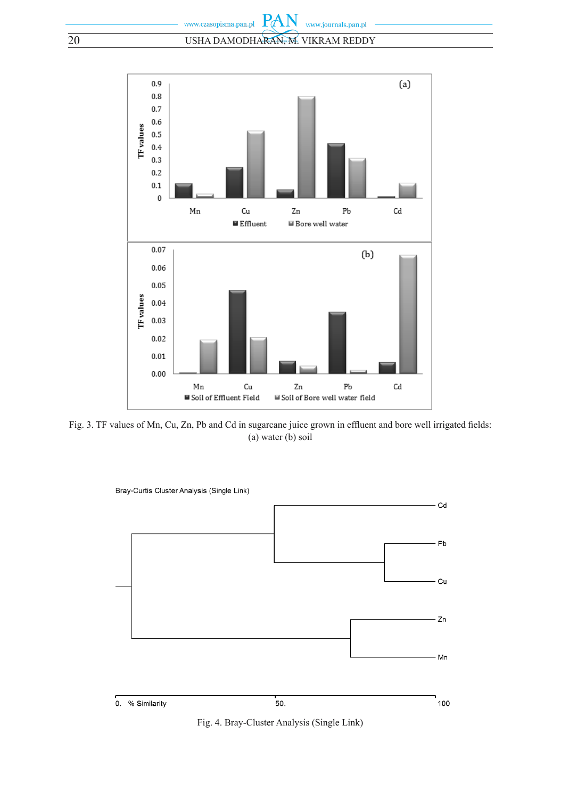# 20 USHA DAMODHARAN, M. VIKRAM REDDY



Fig. 3. TF values of Mn, Cu, Zn, Pb and Cd in sugarcane juice grown in effluent and bore well irrigated fields: (a) water (b) soil



Fig. 4. Bray-Cluster Analysis (Single Link)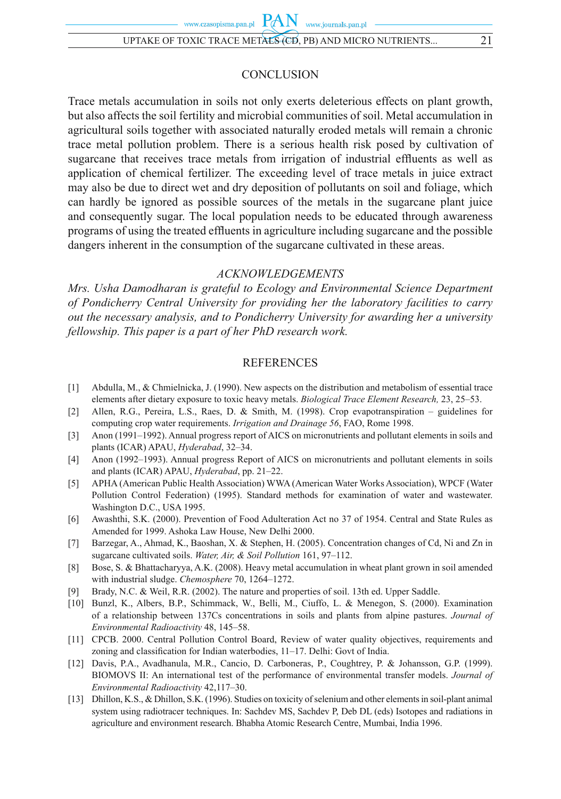#### CONCLUSION

Trace metals accumulation in soils not only exerts deleterious effects on plant growth, but also affects the soil fertility and microbial communities of soil. Metal accumulation in agricultural soils together with associated naturally eroded metals will remain a chronic trace metal pollution problem. There is a serious health risk posed by cultivation of sugarcane that receives trace metals from irrigation of industrial effluents as well as application of chemical fertilizer. The exceeding level of trace metals in juice extract may also be due to direct wet and dry deposition of pollutants on soil and foliage, which can hardly be ignored as possible sources of the metals in the sugarcane plant juice and consequently sugar. The local population needs to be educated through awareness programs of using the treated effluents in agriculture including sugarcane and the possible dangers inherent in the consumption of the sugarcane cultivated in these areas.

#### *ACKNOWLEDGEMENTS*

*Mrs. Usha Damodharan is grateful to Ecology and Environmental Science Department of Pondicherry Central University for providing her the laboratory facilities to carry out the necessary analysis, and to Pondicherry University for awarding her a university fellowship. This paper is a part of her PhD research work.*

#### REFERENCES

- [1] Abdulla, M., & Chmielnicka, J. (1990). New aspects on the distribution and metabolism of essential trace elements after dietary exposure to toxic heavy metals. *Biological Trace Element Research,* 23, 25–53.
- [2] Allen, R.G., Pereira, L.S., Raes, D. & Smith, M. (1998). Crop evapotranspiration guidelines for computing crop water requirements. *Irrigation and Drainage 56*, FAO, Rome 1998.
- [3] Anon (1991–1992). Annual progress report of AICS on micronutrients and pollutant elements in soils and plants (ICAR) APAU, *Hyderabad*, 32–34.
- [4] Anon (1992–1993). Annual progress Report of AICS on micronutrients and pollutant elements in soils and plants (ICAR) APAU, *Hyderabad*, pp. 21–22.
- [5] APHA (American Public Health Association) WWA (American Water Works Association), WPCF (Water Pollution Control Federation) (1995). Standard methods for examination of water and wastewater. Washington D.C., USA 1995.
- [6] Awashthi, S.K. (2000). Prevention of Food Adulteration Act no 37 of 1954. Central and State Rules as Amended for 1999. Ashoka Law House, New Delhi 2000.
- [7] Barzegar, A., Ahmad, K., Baoshan, X. & Stephen, H. (2005). Concentration changes of Cd, Ni and Zn in sugarcane cultivated soils. *Water, Air, & Soil Pollution* 161, 97–112.
- [8] Bose, S. & Bhattacharyya, A.K. (2008). Heavy metal accumulation in wheat plant grown in soil amended with industrial sludge. *Chemosphere* 70, 1264–1272.
- [9] Brady, N.C. & Weil, R.R. (2002). The nature and properties of soil. 13th ed. Upper Saddle.
- [10] Bunzl, K., Albers, B.P., Schimmack, W., Belli, M., Ciuffo, L. & Menegon, S. (2000). Examination of a relationship between 137Cs concentrations in soils and plants from alpine pastures. *Journal of Environmental Radioactivity* 48, 145–58.
- [11] CPCB. 2000. Central Pollution Control Board, Review of water quality objectives, requirements and zoning and classification for Indian waterbodies, 11-17. Delhi: Govt of India.
- [12] Davis, P.A., Avadhanula, M.R., Cancio, D. Carboneras, P., Coughtrey, P. & Johansson, G.P. (1999). BIOMOVS II: An international test of the performance of environmental transfer models. *Journal of Environmental Radioactivity* 42,117–30.
- [13] Dhillon, K.S., & Dhillon, S.K. (1996). Studies on toxicity of selenium and other elements in soil-plant animal system using radiotracer techniques. In: Sachdev MS, Sachdev P, Deb DL (eds) Isotopes and radiations in agriculture and environment research. Bhabha Atomic Research Centre, Mumbai, India 1996.